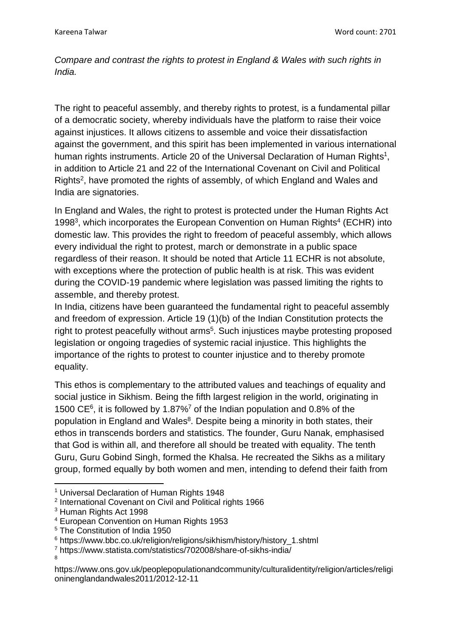*Compare and contrast the rights to protest in England & Wales with such rights in India.*

The right to peaceful assembly, and thereby rights to protest, is a fundamental pillar of a democratic society, whereby individuals have the platform to raise their voice against injustices. It allows citizens to assemble and voice their dissatisfaction against the government, and this spirit has been implemented in various international human rights instruments. Article 20 of the Universal Declaration of Human Rights<sup>1</sup>, in addition to Article 21 and 22 of the International Covenant on Civil and Political Rights<sup>2</sup>, have promoted the rights of assembly, of which England and Wales and India are signatories.

In England and Wales, the right to protest is protected under the Human Rights Act 1998<sup>3</sup>, which incorporates the European Convention on Human Rights<sup>4</sup> (ECHR) into domestic law. This provides the right to freedom of peaceful assembly, which allows every individual the right to protest, march or demonstrate in a public space regardless of their reason. It should be noted that Article 11 ECHR is not absolute, with exceptions where the protection of public health is at risk. This was evident during the COVID-19 pandemic where legislation was passed limiting the rights to assemble, and thereby protest.

In India, citizens have been guaranteed the fundamental right to peaceful assembly and freedom of expression. Article 19 (1)(b) of the Indian Constitution protects the right to protest peacefully without arms<sup>5</sup>. Such injustices maybe protesting proposed legislation or ongoing tragedies of systemic racial injustice. This highlights the importance of the rights to protest to counter injustice and to thereby promote equality.

This ethos is complementary to the attributed values and teachings of equality and social justice in Sikhism. Being the fifth largest religion in the world, originating in 1500 CE<sup>6</sup> , it is followed by 1.87%<sup>7</sup> of the Indian population and 0.8% of the population in England and Wales<sup>8</sup>. Despite being a minority in both states, their ethos in transcends borders and statistics. The founder, Guru Nanak, emphasised that God is within all, and therefore all should be treated with equality. The tenth Guru, Guru Gobind Singh, formed the Khalsa. He recreated the Sikhs as a military group, formed equally by both women and men, intending to defend their faith from

8

<sup>&</sup>lt;sup>1</sup> Universal Declaration of Human Rights 1948

<sup>&</sup>lt;sup>2</sup> International Covenant on Civil and Political rights 1966

<sup>3</sup> Human Rights Act 1998

<sup>4</sup> European Convention on Human Rights 1953

<sup>5</sup> The Constitution of India 1950

<sup>&</sup>lt;sup>6</sup> https://www.bbc.co.uk/religion/religions/sikhism/history/history\_1.shtml

<sup>7</sup> https://www.statista.com/statistics/702008/share-of-sikhs-india/

https://www.ons.gov.uk/peoplepopulationandcommunity/culturalidentity/religion/articles/religi oninenglandandwales2011/2012-12-11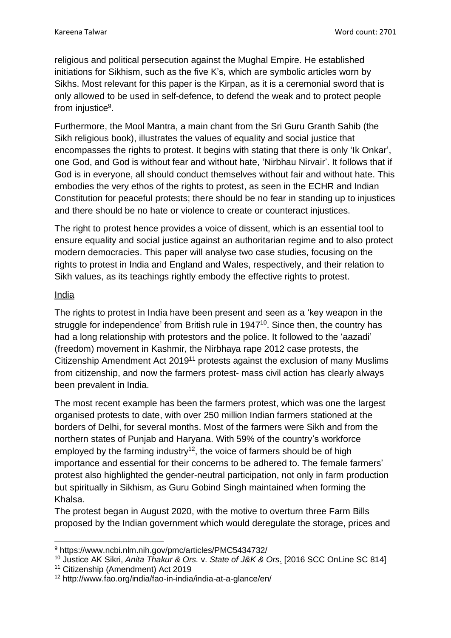religious and political persecution against the Mughal Empire. He established initiations for Sikhism, such as the five K's, which are symbolic articles worn by Sikhs. Most relevant for this paper is the Kirpan, as it is a ceremonial sword that is only allowed to be used in self-defence, to defend the weak and to protect people from injustice<sup>9</sup>.

Furthermore, the Mool Mantra, a main chant from the Sri Guru Granth Sahib (the Sikh religious book), illustrates the values of equality and social justice that encompasses the rights to protest. It begins with stating that there is only 'Ik Onkar', one God, and God is without fear and without hate, 'Nirbhau Nirvair'. It follows that if God is in everyone, all should conduct themselves without fair and without hate. This embodies the very ethos of the rights to protest, as seen in the ECHR and Indian Constitution for peaceful protests; there should be no fear in standing up to injustices and there should be no hate or violence to create or counteract injustices.

The right to protest hence provides a voice of dissent, which is an essential tool to ensure equality and social justice against an authoritarian regime and to also protect modern democracies. This paper will analyse two case studies, focusing on the rights to protest in India and England and Wales, respectively, and their relation to Sikh values, as its teachings rightly embody the effective rights to protest.

## India

The rights to protest in India have been present and seen as a 'key weapon in the struggle for independence' from British rule in 1947<sup>10</sup>. Since then, the country has had a long relationship with protestors and the police. It followed to the 'aazadi' (freedom) movement in Kashmir, the Nirbhaya rape 2012 case protests, the Citizenship Amendment Act 2019<sup>11</sup> protests against the exclusion of many Muslims from citizenship, and now the farmers protest- mass civil action has clearly always been prevalent in India.

The most recent example has been the farmers protest, which was one the largest organised protests to date, with over 250 million Indian farmers stationed at the borders of Delhi, for several months. Most of the farmers were Sikh and from the northern states of Punjab and Haryana. With 59% of the country's workforce employed by the farming industry<sup>12</sup>, the voice of farmers should be of high importance and essential for their concerns to be adhered to. The female farmers' protest also highlighted the gender-neutral participation, not only in farm production but spiritually in Sikhism, as Guru Gobind Singh maintained when forming the Khalsa.

The protest began in August 2020, with the motive to overturn three Farm Bills proposed by the Indian government which would deregulate the storage, prices and

<sup>9</sup> https://www.ncbi.nlm.nih.gov/pmc/articles/PMC5434732/

<sup>10</sup> Justice AK Sikri, *[Anita Thakur & Ors.](https://main.sci.gov.in/jonew/ropor/rop/all/855673.pdf)* v. *State of J&K & Ors.* [2016 SCC OnLine SC 814]

<sup>&</sup>lt;sup>11</sup> Citizenship (Amendment) Act 2019

<sup>12</sup> http://www.fao.org/india/fao-in-india/india-at-a-glance/en/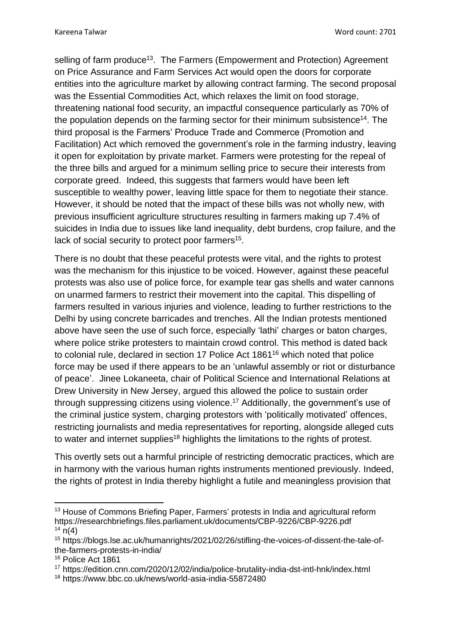selling of farm produce<sup>13</sup>. The Farmers (Empowerment and Protection) Agreement on Price Assurance and Farm Services Act would open the doors for corporate entities into the agriculture market by allowing contract farming. The second proposal was the Essential Commodities Act, which relaxes the limit on food storage, threatening national food security, an impactful consequence particularly as 70% of the population depends on the farming sector for their minimum subsistence<sup>14</sup>. The third proposal is the Farmers' Produce Trade and Commerce (Promotion and Facilitation) Act which removed the government's role in the farming industry, leaving it open for exploitation by private market. Farmers were protesting for the repeal of the three bills and argued for a minimum selling price to secure their interests from corporate greed. Indeed, this suggests that farmers would have been left susceptible to wealthy power, leaving little space for them to negotiate their stance. However, it should be noted that the impact of these bills was not wholly new, with previous insufficient agriculture structures resulting in farmers making up 7.4% of suicides in India due to issues like land inequality, debt burdens, crop failure, and the lack of social security to protect poor farmers<sup>15</sup>.

There is no doubt that these peaceful protests were vital, and the rights to protest was the mechanism for this injustice to be voiced. However, against these peaceful protests was also use of police force, for example tear gas shells and water cannons on unarmed farmers to restrict their movement into the capital. This dispelling of farmers resulted in various injuries and violence, leading to further restrictions to the Delhi by using concrete barricades and trenches. All the Indian protests mentioned above have seen the use of such force, especially 'lathi' charges or baton charges, where police strike protesters to maintain crowd control. This method is dated back to colonial rule, declared in section 17 Police Act 1861<sup>16</sup> which noted that police force may be used if there appears to be an 'unlawful assembly or riot or disturbance of peace'. Jinee Lokaneeta, chair of Political Science and International Relations at Drew University in New Jersey, argued this allowed the police to sustain order through suppressing citizens using violence. <sup>17</sup> Additionally, the government's use of the criminal justice system, charging protestors with 'politically motivated' offences, restricting journalists and media representatives for reporting, alongside alleged cuts to water and internet supplies<sup>18</sup> highlights the limitations to the rights of protest.

This overtly sets out a harmful principle of restricting democratic practices, which are in harmony with the various human rights instruments mentioned previously. Indeed, the rights of protest in India thereby highlight a futile and meaningless provision that

<sup>&</sup>lt;sup>13</sup> House of Commons Briefing Paper, Farmers' protests in India and agricultural reform https://researchbriefings.files.parliament.uk/documents/CBP-9226/CBP-9226.pdf  $14 \text{ n}(4)$ 

<sup>15</sup> https://blogs.lse.ac.uk/humanrights/2021/02/26/stifling-the-voices-of-dissent-the-tale-ofthe-farmers-protests-in-india/

<sup>&</sup>lt;sup>16</sup> Police Act 1861

<sup>17</sup> https://edition.cnn.com/2020/12/02/india/police-brutality-india-dst-intl-hnk/index.html

<sup>18</sup> https://www.bbc.co.uk/news/world-asia-india-55872480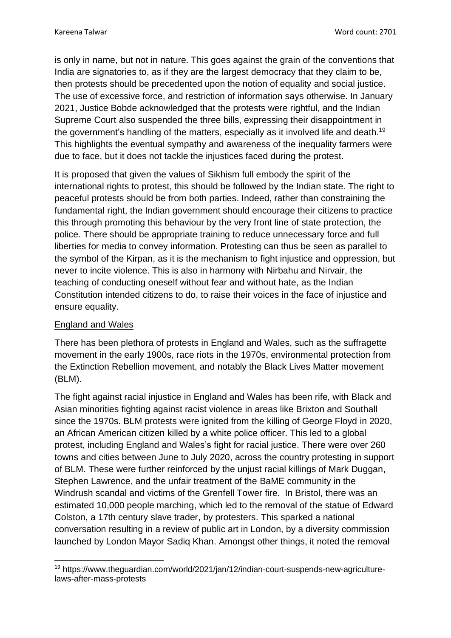is only in name, but not in nature. This goes against the grain of the conventions that India are signatories to, as if they are the largest democracy that they claim to be, then protests should be precedented upon the notion of equality and social justice. The use of excessive force, and restriction of information says otherwise. In January 2021, Justice Bobde acknowledged that the protests were rightful, and the Indian Supreme Court also suspended the three bills, expressing their disappointment in the government's handling of the matters, especially as it involved life and death.<sup>19</sup> This highlights the eventual sympathy and awareness of the inequality farmers were due to face, but it does not tackle the injustices faced during the protest.

It is proposed that given the values of Sikhism full embody the spirit of the international rights to protest, this should be followed by the Indian state. The right to peaceful protests should be from both parties. Indeed, rather than constraining the fundamental right, the Indian government should encourage their citizens to practice this through promoting this behaviour by the very front line of state protection, the police. There should be appropriate training to reduce unnecessary force and full liberties for media to convey information. Protesting can thus be seen as parallel to the symbol of the Kirpan, as it is the mechanism to fight injustice and oppression, but never to incite violence. This is also in harmony with Nirbahu and Nirvair, the teaching of conducting oneself without fear and without hate, as the Indian Constitution intended citizens to do, to raise their voices in the face of injustice and ensure equality.

## England and Wales

There has been plethora of protests in England and Wales, such as the suffragette movement in the early 1900s, race riots in the 1970s, environmental protection from the Extinction Rebellion movement, and notably the Black Lives Matter movement (BLM).

The fight against racial injustice in England and Wales has been rife, with Black and Asian minorities fighting against racist violence in areas like Brixton and Southall since the 1970s. BLM protests were ignited from the killing of George Floyd in 2020, an African American citizen killed by a white police officer. This led to a global protest, including England and Wales's fight for racial justice. There were over 260 towns and cities between June to July 2020, across the country protesting in support of BLM. These were further reinforced by the unjust racial killings of Mark Duggan, Stephen Lawrence, and the unfair treatment of the BaME community in the Windrush scandal and victims of the Grenfell Tower fire. In Bristol, there was an estimated 10,000 people marching, which led to the removal of the statue of Edward Colston, a 17th century slave trader, by protesters. This sparked a national conversation resulting in a review of public art in London, by a diversity commission launched by London Mayor Sadiq Khan. Amongst other things, it noted the removal

<sup>19</sup> https://www.theguardian.com/world/2021/jan/12/indian-court-suspends-new-agriculturelaws-after-mass-protests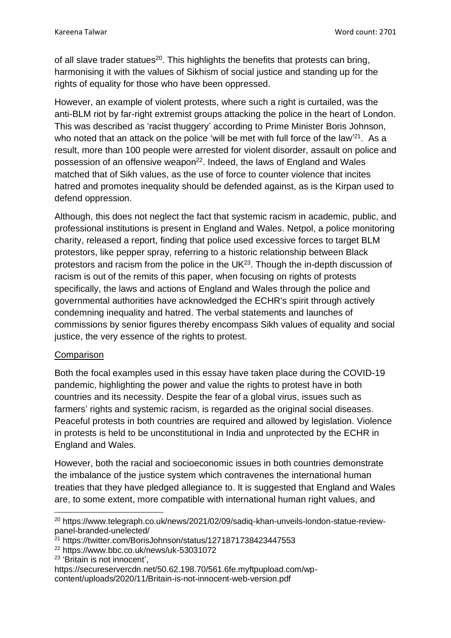of all slave trader statues<sup>20</sup>. This highlights the benefits that protests can bring, harmonising it with the values of Sikhism of social justice and standing up for the rights of equality for those who have been oppressed.

However, an example of violent protests, where such a right is curtailed, was the anti-BLM riot by far-right extremist groups attacking the police in the heart of London. This was described as 'racist thuggery' according to Prime Minister Boris Johnson, who noted that an attack on the police 'will be met with full force of the law<sup>'21</sup>. As a result, more than 100 people were arrested for violent disorder, assault on police and possession of an offensive weapon<sup>22</sup>. Indeed, the laws of England and Wales matched that of Sikh values, as the use of force to counter violence that incites hatred and promotes inequality should be defended against, as is the Kirpan used to defend oppression.

Although, this does not neglect the fact that systemic racism in academic, public, and professional institutions is present in England and Wales. Netpol, a police monitoring charity, released a report, finding that police used excessive forces to target BLM protestors, like pepper spray, referring to a historic relationship between Black protestors and racism from the police in the  $UK^{23}$ . Though the in-depth discussion of racism is out of the remits of this paper, when focusing on rights of protests specifically, the laws and actions of England and Wales through the police and governmental authorities have acknowledged the ECHR's spirit through actively condemning inequality and hatred. The verbal statements and launches of commissions by senior figures thereby encompass Sikh values of equality and social justice, the very essence of the rights to protest.

## **Comparison**

Both the focal examples used in this essay have taken place during the COVID-19 pandemic, highlighting the power and value the rights to protest have in both countries and its necessity. Despite the fear of a global virus, issues such as farmers' rights and systemic racism, is regarded as the original social diseases. Peaceful protests in both countries are required and allowed by legislation. Violence in protests is held to be unconstitutional in India and unprotected by the ECHR in England and Wales.

However, both the racial and socioeconomic issues in both countries demonstrate the imbalance of the justice system which contravenes the international human treaties that they have pledged allegiance to. It is suggested that England and Wales are, to some extent, more compatible with international human right values, and

- <sup>22</sup> https://www.bbc.co.uk/news/uk-53031072
- 23 'Britain is not innocent',

<sup>20</sup> https://www.telegraph.co.uk/news/2021/02/09/sadiq-khan-unveils-london-statue-reviewpanel-branded-unelected/

<sup>&</sup>lt;sup>21</sup> https://twitter.com/BorisJohnson/status/1271871738423447553

https://secureservercdn.net/50.62.198.70/561.6fe.myftpupload.com/wpcontent/uploads/2020/11/Britain-is-not-innocent-web-version.pdf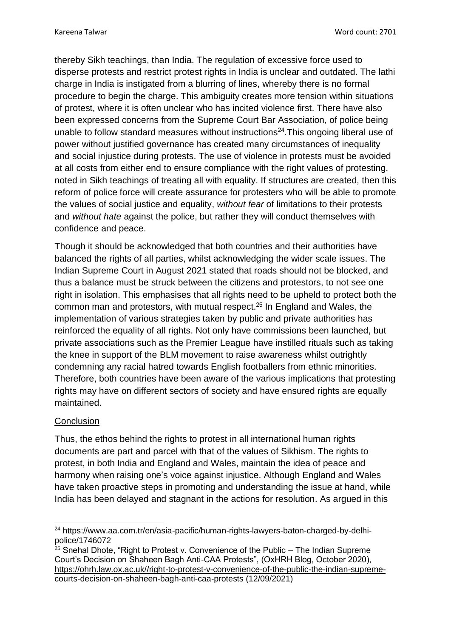thereby Sikh teachings, than India. The regulation of excessive force used to disperse protests and restrict protest rights in India is unclear and outdated. The lathi charge in India is instigated from a blurring of lines, whereby there is no formal procedure to begin the charge. This ambiguity creates more tension within situations of protest, where it is often unclear who has incited violence first. There have also been expressed concerns from the Supreme Court Bar Association, of police being unable to follow standard measures without instructions<sup>24</sup>. This ongoing liberal use of power without justified governance has created many circumstances of inequality and social injustice during protests. The use of violence in protests must be avoided at all costs from either end to ensure compliance with the right values of protesting, noted in Sikh teachings of treating all with equality. If structures are created, then this reform of police force will create assurance for protesters who will be able to promote the values of social justice and equality, *without fear* of limitations to their protests and *without hate* against the police, but rather they will conduct themselves with confidence and peace.

Though it should be acknowledged that both countries and their authorities have balanced the rights of all parties, whilst acknowledging the wider scale issues. The Indian Supreme Court in August 2021 stated that roads should not be blocked, and thus a balance must be struck between the citizens and protestors, to not see one right in isolation. This emphasises that all rights need to be upheld to protect both the common man and protestors, with mutual respect. <sup>25</sup> In England and Wales, the implementation of various strategies taken by public and private authorities has reinforced the equality of all rights. Not only have commissions been launched, but private associations such as the Premier League have instilled rituals such as taking the knee in support of the BLM movement to raise awareness whilst outrightly condemning any racial hatred towards English footballers from ethnic minorities. Therefore, both countries have been aware of the various implications that protesting rights may have on different sectors of society and have ensured rights are equally maintained.

## **Conclusion**

Thus, the ethos behind the rights to protest in all international human rights documents are part and parcel with that of the values of Sikhism. The rights to protest, in both India and England and Wales, maintain the idea of peace and harmony when raising one's voice against injustice. Although England and Wales have taken proactive steps in promoting and understanding the issue at hand, while India has been delayed and stagnant in the actions for resolution. As argued in this

<sup>24</sup> https://www.aa.com.tr/en/asia-pacific/human-rights-lawyers-baton-charged-by-delhipolice/1746072

 $25$  Snehal Dhote, "Right to Protest v. Convenience of the Public – The Indian Supreme Court's Decision on Shaheen Bagh Anti-CAA Protests", (OxHRH Blog, October 2020), [https://ohrh.law.ox.ac.uk//right-to-protest-v-convenience-of-the-public-the-indian-supreme](https://ohrh.law.ox.ac.uk/right-to-protest-v-convenience-of-the-public-the-indian-supreme-courts-decision-on-shaheen-bagh-anti-caa-protests)[courts-decision-on-shaheen-bagh-anti-caa-protests](https://ohrh.law.ox.ac.uk/right-to-protest-v-convenience-of-the-public-the-indian-supreme-courts-decision-on-shaheen-bagh-anti-caa-protests) (12/09/2021)